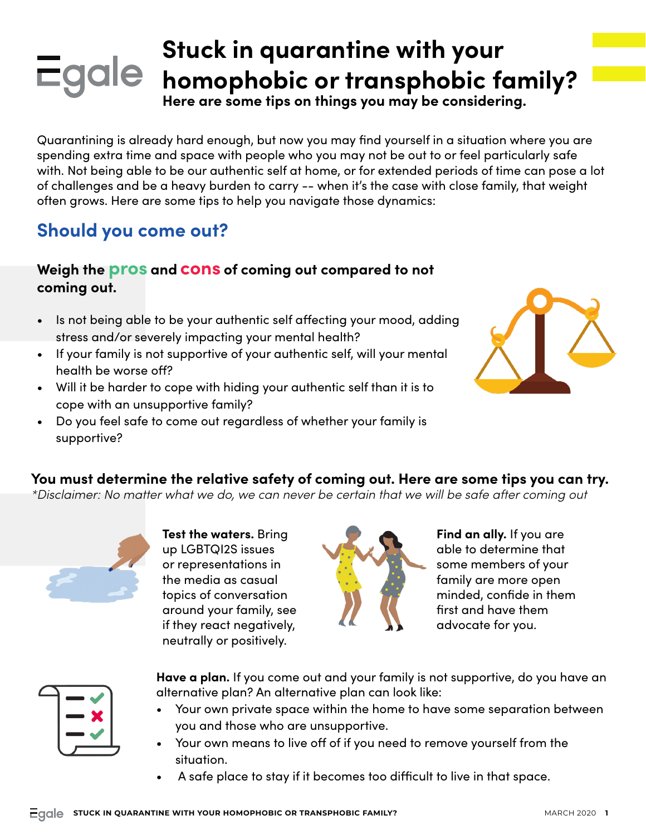### **Stuck in quarantine with your Homophobic or transphobic family?**

**Here are some tips on things you may be considering.**

Quarantining is already hard enough, but now you may find yourself in a situation where you are spending extra time and space with people who you may not be out to or feel particularly safe with. Not being able to be our authentic self at home, or for extended periods of time can pose a lot of challenges and be a heavy burden to carry -- when it's the case with close family, that weight often grows. Here are some tips to help you navigate those dynamics:

### **Should you come out?**

### **Weigh the pros and cons of coming out compared to not coming out.**

- Is not being able to be your authentic self affecting your mood, adding stress and/or severely impacting your mental health?
- If your family is not supportive of your authentic self, will your mental health be worse off?
- Will it be harder to cope with hiding your authentic self than it is to cope with an unsupportive family?
- Do you feel safe to come out regardless of whether your family is supportive?



#### **You must determine the relative safety of coming out. Here are some tips you can try.**

*\*Disclaimer: No matter what we do, we can never be certain that we will be safe after coming out*



**Test the waters.** Bring up LGBTQI2S issues or representations in the media as casual topics of conversation around your family, see if they react negatively, neutrally or positively.



**Find an ally.** If you are able to determine that some members of your family are more open minded, confide in them first and have them advocate for you.

**Have a plan.** If you come out and your family is not supportive, do you have an alternative plan? An alternative plan can look like:

- Your own private space within the home to have some separation between you and those who are unsupportive.
- Your own means to live off of if you need to remove yourself from the situation.
- A safe place to stay if it becomes too difficult to live in that space.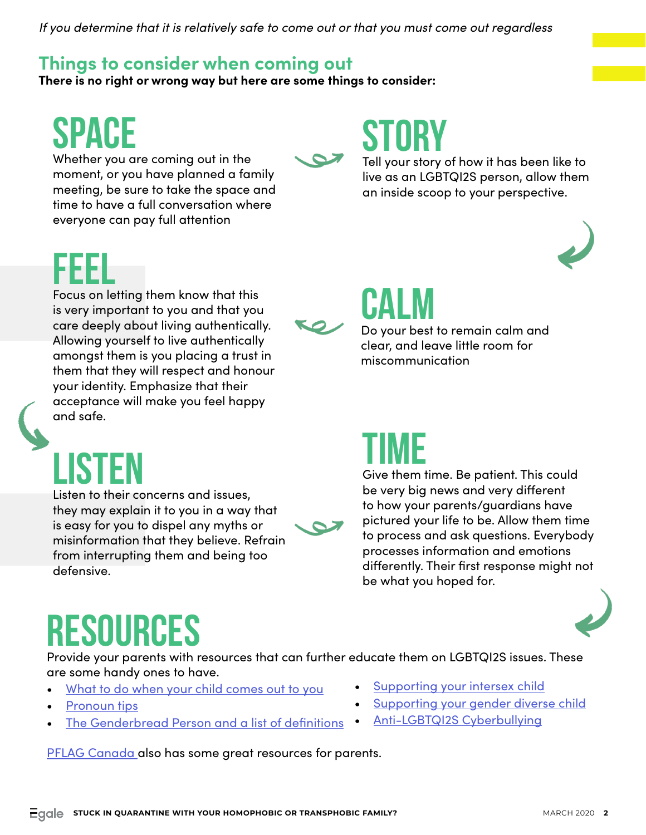*If you determine that it is relatively safe to come out or that you must come out regardless*

### **Things to consider when coming out**

**There is no right or wrong way but here are some things to consider:**

## SPACE

Whether you are coming out in the moment, or you have planned a family meeting, be sure to take the space and time to have a full conversation where everyone can pay full attention

### STORY

Tell your story of how it has been like to live as an LGBTQI2S person, allow them an inside scoop to your perspective.



FEEL Focus on letting them know that this

is very important to you and that you care deeply about living authentically. Allowing yourself to live authentically amongst them is you placing a trust in them that they will respect and honour your identity. Emphasize that their acceptance will make you feel happy and safe.



**LISTE** 

Listen to their concerns and issues, they may explain it to you in a way that is easy for you to dispel any myths or misinformation that they believe. Refrain from interrupting them and being too defensive.



## **CALM**

Do your best to remain calm and clear, and leave little room for miscommunication

### TIME

Give them time. Be patient. This could be very big news and very different to how your parents/guardians have pictured your life to be. Allow them time to process and ask questions. Everybody processes information and emotions differently. Their first response might not be what you hoped for.



# RESOURCES

Provide your parents with resources that can further educate them on LGBTQI2S issues. These are some handy ones to have.

- [What to do when your child comes out to you](https://egale.ca/awareness/what-to-do-when-your-child-comes-out-to-you/)
- [Pronoun tips](https://egale.ca/awareness/pronoun-resource-for-teachers/)
- [The Genderbread Person and a list of definitions](https://egale.ca/awareness/the-genderbread-person/)

[PFLAG Canada a](https://pflagcanada.ca/resources/)lso has some great resources for parents.

- [Supporting your intersex child](https://egale.ca/awareness/supporting-your-intersex-child/)
- [Supporting your gender diverse child](https://egale.ca/awareness/supporting-gender-diverse-child/)
- [Anti-LGBTQI2S Cyberbullying](https://egale.ca/awareness/tackling-anti-lgbtqi2s-cyberbullying-in-schools/)